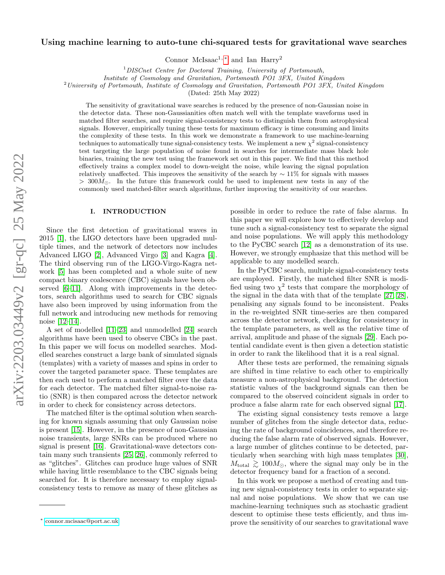# arXiv:2203.03449v2 [gr-qc] 25 May 2022 arXiv:2203.03449v2 [gr-qc] 25 May 2022

# Using machine learning to auto-tune chi-squared tests for gravitational wave searches

Connor McIsaac<sup>1, [∗](#page-0-0)</sup> and Ian Harry<sup>2</sup>

<sup>1</sup>DISCnet Centre for Doctoral Training, University of Portsmouth,

Institute of Cosmology and Gravitation, Portsmouth PO1 3FX, United Kingdom

 $2$ University of Portsmouth, Institute of Cosmology and Gravitation, Portsmouth PO1 3FX, United Kingdom

(Dated: 25th May 2022)

The sensitivity of gravitational wave searches is reduced by the presence of non-Gaussian noise in the detector data. These non-Gaussianities often match well with the template waveforms used in matched filter searches, and require signal-consistency tests to distinguish them from astrophysical signals. However, empirically tuning these tests for maximum efficacy is time consuming and limits the complexity of these tests. In this work we demonstrate a framework to use machine-learning techniques to automatically tune signal-consistency tests. We implement a new  $\chi^2$  signal-consistency test targeting the large population of noise found in searches for intermediate mass black hole binaries, training the new test using the framework set out in this paper. We find that this method effectively trains a complex model to down-weight the noise, while leaving the signal population relatively unaffected. This improves the sensitivity of the search by  $\sim 11\%$  for signals with masses  $> 300M_{\odot}$ . In the future this framework could be used to implement new tests in any of the commonly used matched-filter search algorithms, further improving the sensitivity of our searches.

# I. INTRODUCTION

Since the first detection of gravitational waves in 2015 [\[1\]](#page-7-0), the LIGO detectors have been upgraded multiple times, and the network of detectors now includes Advanced LIGO [\[2\]](#page-7-1), Advanced Virgo [\[3\]](#page-7-2) and Kagra [\[4\]](#page-7-3). The third observing run of the LIGO-Virgo-Kagra network [\[5\]](#page-7-4) has been completed and a whole suite of new compact binary coalescence (CBC) signals have been observed [\[6–](#page-7-5)[11\]](#page-7-6). Along with improvements in the detectors, search algorithms used to search for CBC signals have also been improved by using information from the full network and introducing new methods for removing noise [\[12–](#page-7-7)[14\]](#page-7-8).

A set of modelled [\[11](#page-7-6)[–23\]](#page-8-0) and unmodelled [\[24\]](#page-8-1) search algorithms have been used to observe CBCs in the past. In this paper we will focus on modelled searches. Modelled searches construct a large bank of simulated signals (templates) with a variety of masses and spins in order to cover the targeted parameter space. These templates are then each used to perform a matched filter over the data for each detector. The matched filter signal-to-noise ratio (SNR) is then compared across the detector network in order to check for consistency across detectors.

The matched filter is the optimal solution when searching for known signals assuming that only Gaussian noise is present [\[15\]](#page-7-9). However, in the presence of non-Gaussian noise transients, large SNRs can be produced where no signal is present [\[16\]](#page-7-10). Gravitational-wave detectors contain many such transients [\[25,](#page-8-2) [26\]](#page-8-3), commonly referred to as "glitches". Glitches can produce huge values of SNR while having little resemblance to the CBC signals being searched for. It is therefore necessary to employ signalconsistency tests to remove as many of these glitches as

possible in order to reduce the rate of false alarms. In this paper we will explore how to effectively develop and tune such a signal-consistency test to separate the signal and noise populations. We will apply this methodology to the PyCBC search [\[12\]](#page-7-7) as a demonstration of its use. However, we strongly emphasize that this method will be applicable to any modelled search.

In the PyCBC search, multiple signal-consistency tests are employed. Firstly, the matched filter SNR is modified using two  $\chi^2$  tests that compare the morphology of the signal in the data with that of the template [\[27,](#page-8-4) [28\]](#page-8-5), penalising any signals found to be inconsistent. Peaks in the re-weighted SNR time-series are then compared across the detector network, checking for consistency in the template parameters, as well as the relative time of arrival, amplitude and phase of the signals [\[29\]](#page-8-6). Each potential candidate event is then given a detection statistic in order to rank the likelihood that it is a real signal.

After these tests are performed, the remaining signals are shifted in time relative to each other to empirically measure a non-astrophysical background. The detection statistic values of the background signals can then be compared to the observed coincident signals in order to produce a false alarm rate for each observed signal [\[17\]](#page-8-7).

The existing signal consistency tests remove a large number of glitches from the single detector data, reducing the rate of background coincidences, and therefore reducing the false alarm rate of observed signals. However, a large number of glitches continue to be detected, particularly when searching with high mass templates [\[30\]](#page-8-8),  $M_{\text{total}} \gtrsim 100 M_{\odot}$ , where the signal may only be in the detector frequency band for a fraction of a second.

In this work we propose a method of creating and tuning new signal-consistency tests in order to separate signal and noise populations. We show that we can use machine-learning techniques such as stochastic gradient descent to optimise these tests efficiently, and thus improve the sensitivity of our searches to gravitational wave

<span id="page-0-0"></span><sup>∗</sup> [connor.mcisaac@port.ac.uk](mailto:connor.mcisaac@port.ac.uk)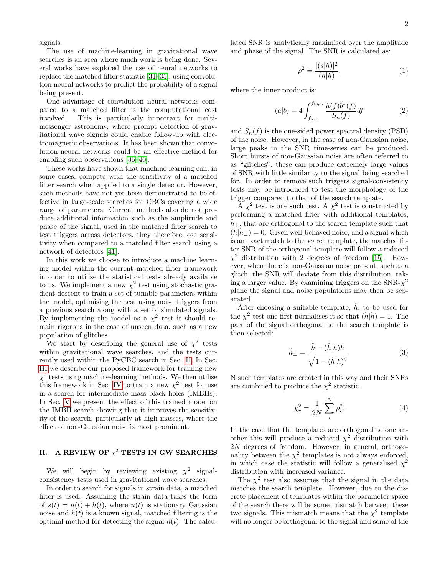signals.

The use of machine-learning in gravitational wave searches is an area where much work is being done. Several works have explored the use of neural networks to replace the matched filter statistic [\[31–](#page-8-9)[35\]](#page-8-10), using convolution neural networks to predict the probability of a signal being present.

One advantage of convolution neural networks compared to a matched filter is the computational cost involved. This is particularly important for multimessenger astronomy, where prompt detection of gravitational wave signals could enable follow-up with electromagnetic observations. It has been shown that convolution neural networks could be an effective method for enabling such observations [\[36–](#page-8-11)[40\]](#page-8-12).

These works have shown that machine-learning can, in some cases, compete with the sensitivity of a matched filter search when applied to a single detector. However, such methods have not yet been demonstrated to be effective in large-scale searches for CBCs covering a wide range of parameters. Current methods also do not produce additional information such as the amplitude and phase of the signal, used in the matched filter search to test triggers across detectors, they therefore lose sensitivity when compared to a matched filter search using a network of detectors [\[41\]](#page-8-13).

In this work we choose to introduce a machine learning model within the current matched filter framework in order to utilise the statistical tests already available to us. We implement a new  $\chi^2$  test using stochastic gradient descent to train a set of tunable parameters within the model, optimising the test using noise triggers from a previous search along with a set of simulated signals. By implementing the model as a  $\chi^2$  test it should remain rigorous in the case of unseen data, such as a new population of glitches.

We start by describing the general use of  $\chi^2$  tests within gravitational wave searches, and the tests currently used within the PyCBC search in Sec. [II.](#page-1-0) In Sec. [III](#page-2-0) we describe our proposed framework for training new  $\chi^2$  tests using machine-learning methods. We then utilise this framework in Sec. [IV](#page-3-0) to train a new  $\chi^2$  test for use in a search for intermediate mass black holes (IMBHs). In Sec. [V](#page-6-0) we present the effect of this trained model on the IMBH search showing that it improves the sensitivity of the search, particularly at high masses, where the effect of non-Gaussian noise is most prominent.

### <span id="page-1-0"></span>II. A REVIEW OF  $\chi^2$  TESTS IN GW SEARCHES

We will begin by reviewing existing  $\chi^2$  signalconsistency tests used in gravitational wave searches.

In order to search for signals in strain data, a matched filter is used. Assuming the strain data takes the form of  $s(t) = n(t) + h(t)$ , where  $n(t)$  is stationary Gaussian noise and  $h(t)$  is a known signal, matched filtering is the optimal method for detecting the signal  $h(t)$ . The calculated SNR is analytically maximised over the amplitude and phase of the signal. The SNR is calculated as:

$$
\rho^2 = \frac{|(s|h)|^2}{(h|h)},\tag{1}
$$

where the inner product is:

$$
(a|b) = 4 \int_{f_{\text{low}}}^{f_{\text{high}}} \frac{\tilde{a}(f)\tilde{b}^*(f)}{S_n(f)} df
$$
 (2)

and  $S_n(f)$  is the one-sided power spectral density (PSD) of the noise. However, in the case of non-Gaussian noise, large peaks in the SNR time-series can be produced. Short bursts of non-Gaussian noise are often referred to as "glitches", these can produce extremely large values of SNR with little similarity to the signal being searched for. In order to remove such triggers signal-consistency tests may be introduced to test the morphology of the trigger compared to that of the search template.

A  $\chi^2$  test is one such test. A  $\chi^2$  test is constructed by performing a matched filter with additional templates,  $h_{\perp}$ , that are orthogonal to the search template such that  $(h|\hat{h}_\perp) = 0$ . Given well-behaved noise, and a signal which is an exact match to the search template, the matched filter SNR of the orthogonal template will follow a reduced  $\chi^2$  distribution with 2 degrees of freedom [\[15\]](#page-7-9). However, when there is non-Gaussian noise present, such as a glitch, the SNR will deviate from this distribution, taking a larger value. By examining triggers on the  $\text{SNR-}\chi^2$ plane the signal and noise populations may then be separated.

After choosing a suitable template,  $\hat{h}$ , to be used for the  $\chi^2$  test one first normalises it so that  $(\hat{h}|\hat{h}) = 1$ . The part of the signal orthogonal to the search template is then selected:

<span id="page-1-1"></span>
$$
\hat{h}_{\perp} = \frac{\hat{h} - (\hat{h}|h)h}{\sqrt{1 - (\hat{h}|h)^2}}.
$$
\n(3)

N such templates are created in this way and their SNRs are combined to produce the  $\chi^2$  statistic.

$$
\chi_r^2 = \frac{1}{2N} \sum_i^N \rho_i^2.
$$
 (4)

In the case that the templates are orthogonal to one another this will produce a reduced  $\chi^2$  distribution with 2N degrees of freedom. However, in general, orthogonality between the  $\chi^2$  templates is not always enforced, in which case the statistic will follow a generalised  $\chi^2$ distribution with increased variance.

The  $\chi^2$  test also assumes that the signal in the data matches the search template. However, due to the discrete placement of templates within the parameter space of the search there will be some mismatch between these two signals. This mismatch means that the  $\chi^2$  template will no longer be orthogonal to the signal and some of the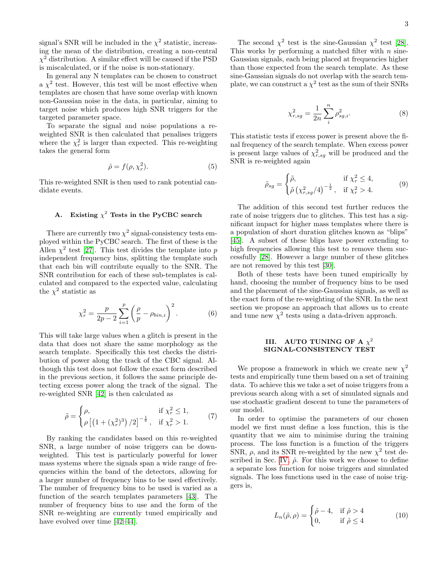signal's SNR will be included in the  $\chi^2$  statistic, increasing the mean of the distribution, creating a non-central  $\chi^2$  distribution. A similar effect will be caused if the PSD is miscalculated, or if the noise is non-stationary.

In general any N templates can be chosen to construct a  $\chi^2$  test. However, this test will be most effective when templates are chosen that have some overlap with known non-Gaussian noise in the data, in particular, aiming to target noise which produces high SNR triggers for the targeted parameter space.

To separate the signal and noise populations a reweighted SNR is then calculated that penalises triggers where the  $\chi_r^2$  is larger than expected. This re-weighting takes the general form

<span id="page-2-1"></span>
$$
\hat{\rho} = f(\rho, \chi_r^2). \tag{5}
$$

This re-weighted SNR is then used to rank potential candidate events.

# <span id="page-2-2"></span>A. Existing  $\chi^2$  Tests in the PyCBC search

There are currently two  $\chi^2$  signal-consistency tests employed within the PyCBC search. The first of these is the Allen  $\chi^2$  test [\[27\]](#page-8-4). This test divides the template into p independent frequency bins, splitting the template such that each bin will contribute equally to the SNR. The SNR contribution for each of these sub-templates is calculated and compared to the expected value, calculating the  $\chi^2$  statistic as

$$
\chi_r^2 = \frac{p}{2p - 2} \sum_{i=1}^p \left( \frac{\rho}{p} - \rho_{bin,i} \right)^2.
$$
 (6)

This will take large values when a glitch is present in the data that does not share the same morphology as the search template. Specifically this test checks the distribution of power along the track of the CBC signal. Although this test does not follow the exact form described in the previous section, it follows the same principle detecting excess power along the track of the signal. The re-weighted SNR [\[42\]](#page-8-14) is then calculated as

$$
\tilde{\rho} = \begin{cases}\n\rho, & \text{if } \chi^2_r \le 1, \\
\rho \left[ \left( 1 + (\chi^2_r)^3 \right) / 2 \right]^{-\frac{1}{6}}, & \text{if } \chi^2_r > 1.\n\end{cases} (7)
$$

By ranking the candidates based on this re-weighted SNR, a large number of noise triggers can be downweighted. This test is particularly powerful for lower mass systems where the signals span a wide range of frequencies within the band of the detectors, allowing for a larger number of frequency bins to be used effectively. The number of frequency bins to be used is varied as a function of the search templates parameters [\[43\]](#page-8-15). The number of frequency bins to use and the form of the SNR re-weighting are currently tuned empirically and have evolved over time  $[42-44]$  $[42-44]$ .

The second  $\chi^2$  test is the sine-Gaussian  $\chi^2$  test [\[28\]](#page-8-5). This works by performing a matched filter with  $n$  sine-Gaussian signals, each being placed at frequencies higher than those expected from the search template. As these sine-Gaussian signals do not overlap with the search template, we can construct a  $\chi^2$  test as the sum of their SNRs

$$
\chi_{r,sg}^2 = \frac{1}{2n} \sum_{i}^{n} \rho_{sg,i}^2.
$$
 (8)

This statistic tests if excess power is present above the final frequency of the search template. When excess power is present large values of  $\chi^2_{r,sg}$  will be produced and the SNR is re-weighted again

<span id="page-2-4"></span>
$$
\tilde{\rho}_{sg} = \begin{cases}\n\tilde{\rho}, & \text{if } \chi^2_r \le 4, \\
\tilde{\rho} \left( \chi^2_{r,sg} / 4 \right)^{-\frac{1}{2}}, & \text{if } \chi^2_r > 4.\n\end{cases}
$$
\n(9)

The addition of this second test further reduces the rate of noise triggers due to glitches. This test has a significant impact for higher mass templates where there is a population of short duration glitches known as "blips" [\[45\]](#page-8-17). A subset of these blips have power extending to high frequencies allowing this test to remove them successfully [\[28\]](#page-8-5). However a large number of these glitches are not removed by this test [\[30\]](#page-8-8).

Both of these tests have been tuned empirically by hand, choosing the number of frequency bins to be used and the placement of the sine-Gaussian signals, as well as the exact form of the re-weighting of the SNR. In the next section we propose an approach that allows us to create and tune new  $\chi^2$  tests using a data-driven approach.

### <span id="page-2-0"></span>III.  $\,$  AUTO TUNING OF A  $\chi^2$ SIGNAL-CONSISTENCY TEST

<span id="page-2-3"></span>We propose a framework in which we create new  $\chi^2$ tests and empirically tune them based on a set of training data. To achieve this we take a set of noise triggers from a previous search along with a set of simulated signals and use stochastic gradient descent to tune the parameters of our model.

In order to optimise the parameters of our chosen model we first must define a loss function, this is the quantity that we aim to minimise during the training process. The loss function is a function of the triggers SNR,  $\rho$ , and its SNR re-weighted by the new  $\chi^2$  test de-scribed in Sec. [IV,](#page-3-0)  $\hat{\rho}$ . For this work we choose to define a separate loss function for noise triggers and simulated signals. The loss functions used in the case of noise triggers is,

$$
L_n(\hat{\rho}, \rho) = \begin{cases} \hat{\rho} - 4, & \text{if } \hat{\rho} > 4 \\ 0, & \text{if } \hat{\rho} \le 4 \end{cases}
$$
 (10)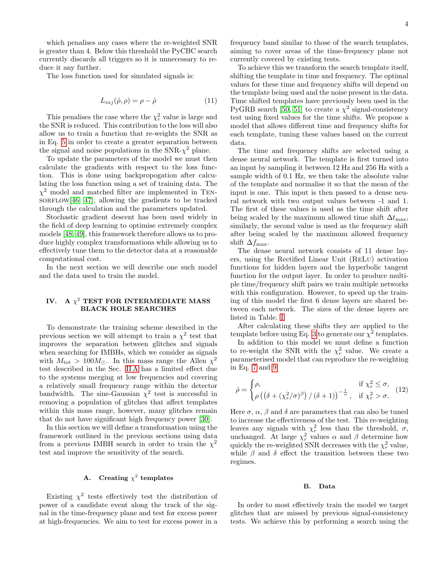which penalises any cases where the re-weighted SNR is greater than 4. Below this threshold the PyCBC search currently discards all triggers so it is unnecessary to reduce it any further.

The loss function used for simulated signals is:

$$
L_{inj}(\hat{\rho}, \rho) = \rho - \hat{\rho} \tag{11}
$$

This penalises the case where the  $\chi^2_r$  value is large and the SNR is reduced. This contribution to the loss will also allow us to train a function that re-weights the SNR as in Eq. [5](#page-2-1) in order to create a greater separation between the signal and noise populations in the  $SNR-\chi^2$  plane.

To update the parameters of the model we must then calculate the gradients with respect to the loss function. This is done using backpropogation after calculating the loss function using a set of training data. The  $\chi^2$  model and matched filter are implemented in TEN- $SORFLOW[46, 47]$  $SORFLOW[46, 47]$  $SORFLOW[46, 47]$ , allowing the gradients to be tracked through the calculation and the parameters updated.

Stochastic gradient descent has been used widely in the field of deep learning to optimise extremely complex models [\[48,](#page-9-2) [49\]](#page-9-3), this framework therefore allows us to produce highly complex transformations while allowing us to effectively tune them to the detector data at a reasonable computational cost.

In the next section we will describe one such model and the data used to train the model.

## <span id="page-3-0"></span>IV. A  $\chi^2$  TEST FOR INTERMEDIATE MASS BLACK HOLE SEARCHES

To demonstrate the training scheme described in the previous section we will attempt to train a  $\chi^2$  test that improves the separation between glitches and signals when searching for IMBHs, which we consider as signals with  $M_{\text{tot}} > 100 M_{\odot}$ . In this mass range the Allen  $\chi^2$ test described in the Sec. [II A](#page-2-2) has a limited effect due to the systems merging at low frequencies and covering a relatively small frequency range within the detector bandwidth. The sine-Gaussian  $\chi^2$  test is successful in removing a population of glitches that affect templates within this mass range, however, many glitches remain that do not have significant high frequency power [\[30\]](#page-8-8).

In this section we will define a transformation using the framework outlined in the previous sections using data from a previous IMBH search in order to train the  $\chi^2$ test and improve the sensitivity of the search.

## <span id="page-3-2"></span>A. Creating  $\chi^2$  templates

Existing  $\chi^2$  tests effectively test the distribution of power of a candidate event along the track of the signal in the time-frequency plane and test for excess power at high-frequencies. We aim to test for excess power in a

frequency band similar to those of the search templates, aiming to cover areas of the time-frequency plane not currently covered by existing tests.

To achieve this we transform the search template itself, shifting the template in time and frequency. The optimal values for these time and frequency shifts will depend on the template being used and the noise present in the data. Time shifted templates have previously been used in the PyGRB search [\[50,](#page-9-4) [51\]](#page-9-5) to create a  $\chi^2$  signal-consistency test using fixed values for the time shifts. We propose a model that allows different time and frequency shifts for each template, tuning these values based on the current data.

The time and frequency shifts are selected using a dense neural network. The template is first turned into an input by sampling it between 12 Hz and 256 Hz with a sample width of 0.1 Hz, we then take the absolute value of the template and normalise it so that the mean of the input is one. This input is then passed to a dense neural network with two output values between -1 and 1. The first of these values is used as the time shift after being scaled by the maximum allowed time shift  $\Delta t_{\text{max}}$ , similarly, the second value is used as the frequency shift after being scaled by the maximum allowed frequency shift  $\Delta f_{\text{max}}$ .

The dense neural network consists of 11 dense layers, using the Rectified Linear Unit (ReLu) activation functions for hidden layers and the hyperbolic tangent function for the output layer. In order to produce multiple time/frequency shift pairs we train multiple networks with this configuration. However, to speed up the training of this model the first 6 dense layers are shared between each network. The sizes of the dense layers are listed in Table. [I.](#page-4-0)

After calculating these shifts they are applied to the template before using Eq. [3](#page-1-1) to generate our  $\chi^2$  templates.

In addition to this model we must define a function to re-weight the SNR with the  $\chi^2_r$  value. We create a parameterised model that can reproduce the re-weighting in Eq. [7](#page-2-3) and [9.](#page-2-4)

<span id="page-3-1"></span>
$$
\hat{\rho} = \begin{cases} \rho, & \text{if } \chi^2_r \le \sigma, \\ \rho \left( \left( \delta + (\chi^2_r/\sigma)^{\beta} \right) / (\delta + 1) \right)^{-\frac{1}{\alpha}}, & \text{if } \chi^2_r > \sigma. \end{cases}
$$
 (12)

Here  $\sigma$ ,  $\alpha$ ,  $\beta$  and  $\delta$  are parameters that can also be tuned to increase the effectiveness of the test. This re-weighting leaves any signals with  $\chi^2_r$  less than the threshold,  $\sigma$ , unchanged. At large  $\chi^2_r$  values  $\alpha$  and  $\beta$  determine how quickly the re-weighted SNR decreases with the  $\chi^2_r$  value, while  $\beta$  and  $\delta$  effect the transition between these two regimes.

### B. Data

In order to most effectively train the model we target glitches that are missed by previous signal-consistency tests. We achieve this by performing a search using the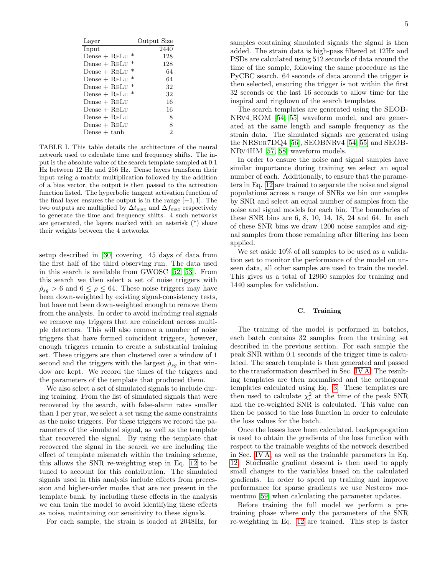| Layer                    | Output Size    |
|--------------------------|----------------|
| Input                    | 2440           |
| $\ast$<br>$Dense + RELU$ | 128            |
| $\ast$<br>$Dense + RELU$ | 128            |
| $\ast$<br>$Dense + RELU$ | 64             |
| $\ast$<br>$Dense + RELU$ | 64             |
| $\ast$<br>$Dense + RELU$ | 32             |
| $\ast$<br>$Dense + RELU$ | 32             |
| $Dense + RELU$           | 16             |
| $Dense + RELU$           | 16             |
| $Dense + RELU$           | 8              |
| $Dense + RELU$           | 8              |
| Dense $+$ tanh           | $\overline{2}$ |

<span id="page-4-0"></span>TABLE I. This table details the architecture of the neural network used to calculate time and frequency shifts. The input is the absolute value of the search template sampled at 0.1 Hz between 12 Hz and 256 Hz. Dense layers transform their input using a matrix multiplication followed by the addition of a bias vector, the output is then passed to the activation function listed. The hyperbolic tangent activation function of the final layer ensures the output is in the range  $[-1, 1]$ . The two outputs are multiplied by  $\Delta t_{\text{max}}$  and  $\Delta f_{\text{max}}$  respectively to generate the time and frequency shifts. 4 such networks are generated, the layers marked with an asterisk (\*) share their weights between the 4 networks.

setup described in [\[30\]](#page-8-8) covering 45 days of data from the first half of the third observing run. The data used in this search is available from GWOSC [\[52,](#page-9-6) [53\]](#page-9-7). From this search we then select a set of noise triggers with  $\tilde{\rho}_{sa} > 6$  and  $6 \leq \rho \leq 64$ . These noise triggers may have been down-weighted by existing signal-consistency tests, but have not been down-weighted enough to remove them from the analysis. In order to avoid including real signals we remove any triggers that are coincident across multiple detectors. This will also remove a number of noise triggers that have formed coincident triggers, however, enough triggers remain to create a substantial training set. These triggers are then clustered over a window of 1 second and the triggers with the largest  $\tilde{\rho}_{sq}$  in that window are kept. We record the times of the triggers and the parameters of the template that produced them.

We also select a set of simulated signals to include during training. From the list of simulated signals that were recovered by the search, with false-alarm rates smaller than 1 per year, we select a set using the same constraints as the noise triggers. For these triggers we record the parameters of the simulated signal, as well as the template that recovered the signal. By using the template that recovered the signal in the search we are including the effect of template mismatch within the training scheme, this allows the SNR re-weighting step in Eq. [12](#page-3-1) to be tuned to account for this contribution. The simulated signals used in this analysis include effects from precession and higher-order modes that are not present in the template bank, by including these effects in the analysis we can train the model to avoid identifying these effects as noise, maintaining our sensitivity to these signals.

For each sample, the strain is loaded at 2048Hz, for

samples containing simulated signals the signal is then added. The strain data is high-pass filtered at 12Hz and PSDs are calculated using 512 seconds of data around the time of the sample, following the same procedure as the PyCBC search. 64 seconds of data around the trigger is then selected, ensuring the trigger is not within the first 32 seconds or the last 16 seconds to allow time for the inspiral and ringdown of the search templates.

The search templates are generated using the SEOB-NRv4 ROM [\[54,](#page-9-8) [55\]](#page-9-9) waveform model, and are generated at the same length and sample frequency as the strain data. The simulated signals are generated using the NRSur7DQ4 [\[56\]](#page-9-10), SEOBNRv4 [\[54,](#page-9-8) [55\]](#page-9-9) and SEOB-NRv4HM [\[57,](#page-9-11) [58\]](#page-9-12) waveform models.

In order to ensure the noise and signal samples have similar importance during training we select an equal number of each. Additionally, to ensure that the parameters in Eq. [12](#page-3-1) are trained to separate the noise and signal populations across a range of SNRs we bin our samples by SNR and select an equal number of samples from the noise and signal models for each bin. The boundaries of these SNR bins are 6, 8, 10, 14, 18, 24 and 64. In each of these SNR bins we draw 1200 noise samples and signal samples from those remaining after filtering has been applied.

We set aside 10% of all samples to be used as a validation set to monitor the performance of the model on unseen data, all other samples are used to train the model. This gives us a total of 12960 samples for training and 1440 samples for validation.

### C. Training

The training of the model is performed in batches, each batch contains 32 samples from the training set described in the previous section. For each sample the peak SNR within 0.1 seconds of the trigger time is calculated. The search template is then generated and passed to the transformation described in Sec. [IV A.](#page-3-2) The resulting templates are then normalised and the orthogonal templates calculated using Eq. [3.](#page-1-1) These templates are then used to calculate  $\chi^2_r$  at the time of the peak SNR and the re-weighted SNR is calculated. This value can then be passed to the loss function in order to calculate the loss values for the batch.

Once the losses have been calculated, backpropogation is used to obtain the gradients of the loss function with respect to the trainable weights of the network described in Sec. [IV A,](#page-3-2) as well as the trainable parameters in Eq. [12.](#page-3-1) Stochastic gradient descent is then used to apply small changes to the variables based on the calculated gradients. In order to speed up training and improve performance for sparse gradients we use Nesterov momentum [\[59\]](#page-9-13) when calculating the parameter updates.

Before training the full model we perform a pretraining phase where only the parameters of the SNR re-weighting in Eq. [12](#page-3-1) are trained. This step is faster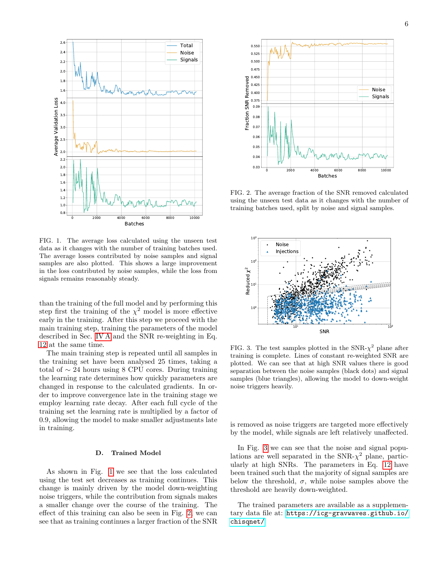

<span id="page-5-0"></span>FIG. 1. The average loss calculated using the unseen test data as it changes with the number of training batches used. The average losses contributed by noise samples and signal samples are also plotted. This shows a large improvement in the loss contributed by noise samples, while the loss from signals remains reasonably steady.

than the training of the full model and by performing this step first the training of the  $\chi^2$  model is more effective early in the training. After this step we proceed with the main training step, training the parameters of the model described in Sec. [IV A](#page-3-2) and the SNR re-weighting in Eq. [12](#page-3-1) at the same time.

The main training step is repeated until all samples in the training set have been analysed 25 times, taking a total of ∼ 24 hours using 8 CPU cores. During training the learning rate determines how quickly parameters are changed in response to the calculated gradients. In order to improve convergence late in the training stage we employ learning rate decay. After each full cycle of the training set the learning rate is multiplied by a factor of 0.9, allowing the model to make smaller adjustments late in training.

### D. Trained Model

As shown in Fig. [1](#page-5-0) we see that the loss calculated using the test set decreases as training continues. This change is mainly driven by the model down-weighting noise triggers, while the contribution from signals makes a smaller change over the course of the training. The effect of this training can also be seen in Fig. [2,](#page-5-1) we can see that as training continues a larger fraction of the SNR



<span id="page-5-1"></span>FIG. 2. The average fraction of the SNR removed calculated using the unseen test data as it changes with the number of training batches used, split by noise and signal samples.



<span id="page-5-2"></span>FIG. 3. The test samples plotted in the  $SNR-\chi^2$  plane after training is complete. Lines of constant re-weighted SNR are plotted. We can see that at high SNR values there is good separation between the noise samples (black dots) and signal samples (blue triangles), allowing the model to down-weight noise triggers heavily.

is removed as noise triggers are targeted more effectively by the model, while signals are left relatively unaffected.

In Fig. [3](#page-5-2) we can see that the noise and signal populations are well separated in the  $SNR-\chi^2$  plane, particularly at high SNRs. The parameters in Eq. [12](#page-3-1) have been trained such that the majority of signal samples are below the threshold,  $\sigma$ , while noise samples above the threshold are heavily down-weighted.

The trained parameters are available as a supplementary data file at: [https://icg-gravwaves.github.io/](https://icg-gravwaves.github.io/chisqnet/) [chisqnet/](https://icg-gravwaves.github.io/chisqnet/)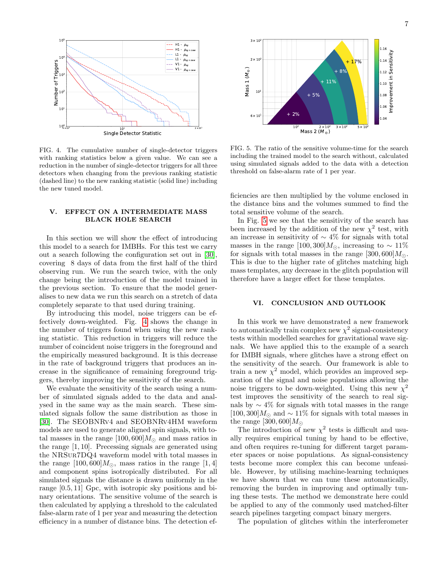

<span id="page-6-1"></span>FIG. 4. The cumulative number of single-detector triggers with ranking statistics below a given value. We can see a reduction in the number of single-detector triggers for all three detectors when changing from the previous ranking statistic (dashed line) to the new ranking statistic (solid line) including the new tuned model.

# <span id="page-6-0"></span>V. EFFECT ON A INTERMEDIATE MASS BLACK HOLE SEARCH

In this section we will show the effect of introducing this model to a search for IMBHs. For this test we carry out a search following the configuration set out in [\[30\]](#page-8-8), covering 8 days of data from the first half of the third observing run. We run the search twice, with the only change being the introduction of the model trained in the previous section. To ensure that the model generalises to new data we run this search on a stretch of data completely separate to that used during training.

By introducing this model, noise triggers can be effectively down-weighted. Fig. [4](#page-6-1) shows the change in the number of triggers found when using the new ranking statistic. This reduction in triggers will reduce the number of coincident noise triggers in the foreground and the empirically measured background. It is this decrease in the rate of background triggers that produces an increase in the significance of remaining foreground triggers, thereby improving the sensitivity of the search.

We evaluate the sensitivity of the search using a number of simulated signals added to the data and analysed in the same way as the main search. These simulated signals follow the same distribution as those in [\[30\]](#page-8-8). The SEOBNRv4 and SEOBNRv4HM waveform models are used to generate aligned spin signals, with total masses in the range  $[100, 600]M_{\odot}$  and mass ratios in the range [1, 10]. Precessing signals are generated using the NRSur7DQ4 waveform model with total masses in the range  $[100, 600]M_{\odot}$ , mass ratios in the range  $[1, 4]$ and component spins isotropically distributed. For all simulated signals the distance is drawn uniformly in the range [0.5, 11] Gpc, with isotropic sky positions and binary orientations. The sensitive volume of the search is then calculated by applying a threshold to the calculated false-alarm rate of 1 per year and measuring the detection efficiency in a number of distance bins. The detection ef-



<span id="page-6-2"></span>FIG. 5. The ratio of the sensitive volume-time for the search including the trained model to the search without, calculated using simulated signals added to the data with a detection threshold on false-alarm rate of 1 per year.

ficiencies are then multiplied by the volume enclosed in the distance bins and the volumes summed to find the total sensitive volume of the search.

In Fig. [5](#page-6-2) we see that the sensitivity of the search has been increased by the addition of the new  $\chi^2$  test, with an increase in sensitivity of  $\sim$  4% for signals with total masses in the range [100, 300] $M_{\odot}$ , increasing to ~ 11% for signals with total masses in the range  $[300, 600]M_{\odot}$ . This is due to the higher rate of glitches matching high mass templates, any decrease in the glitch population will therefore have a larger effect for these templates.

# VI. CONCLUSION AND OUTLOOK

In this work we have demonstrated a new framework to automatically train complex new  $\chi^2$  signal-consistency tests within modelled searches for gravitational wave signals. We have applied this to the example of a search for IMBH signals, where glitches have a strong effect on the sensitivity of the search. Our framework is able to train a new  $\chi^2$  model, which provides an improved separation of the signal and noise populations allowing the noise triggers to be down-weighted. Using this new  $\chi^2$ test improves the sensitivity of the search to real signals by  $\sim$  4% for signals with total masses in the range [100, 300] $M_{\odot}$  and ~ 11% for signals with total masses in the range  $[300, 600]M_{\odot}$ 

The introduction of new  $\chi^2$  tests is difficult and usually requires empirical tuning by hand to be effective, and often requires re-tuning for different target parameter spaces or noise populations. As signal-consistency tests become more complex this can become unfeasible. However, by utilising machine-learning techniques we have shown that we can tune these automatically, removing the burden in improving and optimally tuning these tests. The method we demonstrate here could be applied to any of the commonly used matched-filter search pipelines targeting compact binary mergers.

The population of glitches within the interferometer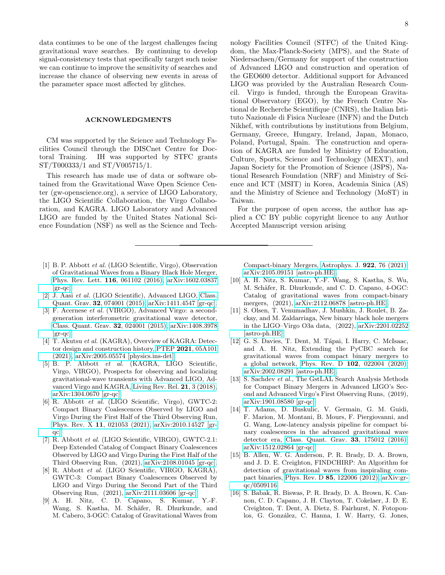data continues to be one of the largest challenges facing gravitational wave searches. By continuing to develop signal-consistency tests that specifically target such noise we can continue to improve the sensitivity of searches and increase the chance of observing new events in areas of the parameter space most affected by glitches.

### ACKNOWLEDGMENTS

CM was supported by the Science and Technology Facilities Council through the DISCnet Centre for Doctoral Training. IH was supported by STFC grants ST/T000333/1 and ST/V005715/1.

This research has made use of data or software obtained from the Gravitational Wave Open Science Center (gw-openscience.org), a service of LIGO Laboratory, the LIGO Scientific Collaboration, the Virgo Collaboration, and KAGRA. LIGO Laboratory and Advanced LIGO are funded by the United States National Science Foundation (NSF) as well as the Science and Tech-

- <span id="page-7-0"></span>[1] B. P. Abbott et al. (LIGO Scientific, Virgo), Observation of Gravitational Waves from a Binary Black Hole Merger, [Phys. Rev. Lett.](https://doi.org/10.1103/PhysRevLett.116.061102) 116, 061102 (2016), [arXiv:1602.03837](https://arxiv.org/abs/1602.03837)  $\left[\text{gr-qc}\right].$
- <span id="page-7-1"></span>[2] J. Aasi et al. (LIGO Scientific), Advanced LIGO, [Class.](https://doi.org/10.1088/0264-9381/32/7/074001) Quant. Grav. 32[, 074001 \(2015\),](https://doi.org/10.1088/0264-9381/32/7/074001) [arXiv:1411.4547 \[gr-qc\].](https://arxiv.org/abs/1411.4547)
- <span id="page-7-2"></span>[3] F. Acernese et al. (VIRGO), Advanced Virgo: a secondgeneration interferometric gravitational wave detector, [Class. Quant. Grav.](https://doi.org/10.1088/0264-9381/32/2/024001) 32, 024001 (2015), [arXiv:1408.3978](https://arxiv.org/abs/1408.3978) [\[gr-qc\].](https://arxiv.org/abs/1408.3978)
- <span id="page-7-3"></span>[4] T. Akutsu et al. (KAGRA), Overview of KAGRA: Detector design and construction history, PTEP 2021[, 05A101](https://doi.org/10.1093/ptep/ptaa125) [\(2021\),](https://doi.org/10.1093/ptep/ptaa125) [arXiv:2005.05574 \[physics.ins-det\].](https://arxiv.org/abs/2005.05574)
- <span id="page-7-4"></span>[5] B. P. Abbott et al. (KAGRA, LIGO Scientific, Virgo, VIRGO), Prospects for observing and localizing gravitational-wave transients with Advanced LIGO, Advanced Virgo and KAGRA, [Living Rev. Rel.](https://doi.org/10.1007/s41114-020-00026-9) 21, 3 (2018), [arXiv:1304.0670 \[gr-qc\].](https://arxiv.org/abs/1304.0670)
- <span id="page-7-5"></span>[6] R. Abbott et al. (LIGO Scientific, Virgo), GWTC-2: Compact Binary Coalescences Observed by LIGO and Virgo During the First Half of the Third Observing Run, Phys. Rev. X 11[, 021053 \(2021\),](https://doi.org/10.1103/PhysRevX.11.021053) [arXiv:2010.14527 \[gr](https://arxiv.org/abs/2010.14527)[qc\].](https://arxiv.org/abs/2010.14527)
- [7] R. Abbott et al. (LIGO Scientific, VIRGO), GWTC-2.1: Deep Extended Catalog of Compact Binary Coalescences Observed by LIGO and Virgo During the First Half of the Third Observing Run, (2021), [arXiv:2108.01045 \[gr-qc\].](https://arxiv.org/abs/2108.01045)
- [8] R. Abbott et al. (LIGO Scientific, VIRGO, KAGRA), GWTC-3: Compact Binary Coalescences Observed by LIGO and Virgo During the Second Part of the Third Observing Run, (2021), [arXiv:2111.03606 \[gr-qc\].](https://arxiv.org/abs/2111.03606)
- [9] A. H. Nitz, C. D. Capano, S. Kumar, Y.-F. Wang, S. Kastha, M. Schäfer, R. Dhurkunde, and M. Cabero, 3-OGC: Catalog of Gravitational Waves from

nology Facilities Council (STFC) of the United Kingdom, the Max-Planck-Society (MPS), and the State of Niedersachsen/Germany for support of the construction of Advanced LIGO and construction and operation of the GEO600 detector. Additional support for Advanced LIGO was provided by the Australian Research Council. Virgo is funded, through the European Gravitational Observatory (EGO), by the French Centre National de Recherche Scientifique (CNRS), the Italian Istituto Nazionale di Fisica Nucleare (INFN) and the Dutch Nikhef, with contributions by institutions from Belgium, Germany, Greece, Hungary, Ireland, Japan, Monaco, Poland, Portugal, Spain. The construction and operation of KAGRA are funded by Ministry of Education, Culture, Sports, Science and Technology (MEXT), and Japan Society for the Promotion of Science (JSPS), National Research Foundation (NRF) and Ministry of Science and ICT (MSIT) in Korea, Academia Sinica (AS) and the Ministry of Science and Technology (MoST) in Taiwan.

For the purpose of open access, the author has applied a CC BY public copyright licence to any Author Accepted Manuscript version arising

Compact-binary Mergers, [Astrophys. J.](https://doi.org/10.3847/1538-4357/ac1c03) 922, 76 (2021), [arXiv:2105.09151 \[astro-ph.HE\].](https://arxiv.org/abs/2105.09151)

- [10] A. H. Nitz, S. Kumar, Y.-F. Wang, S. Kastha, S. Wu, M. Schäfer, R. Dhurkunde, and C. D. Capano, 4-OGC: Catalog of gravitational waves from compact-binary mergers, (2021), [arXiv:2112.06878 \[astro-ph.HE\].](https://arxiv.org/abs/2112.06878)
- <span id="page-7-6"></span>[11] S. Olsen, T. Venumadhav, J. Mushkin, J. Roulet, B. Zackay, and M. Zaldarriaga, New binary black hole mergers in the LIGO–Virgo O3a data, (2022), [arXiv:2201.02252](https://arxiv.org/abs/2201.02252) [\[astro-ph.HE\].](https://arxiv.org/abs/2201.02252)
- <span id="page-7-7"></span>[12] G. S. Davies, T. Dent, M. Tápai, I. Harry, C. McIsaac, and A. H. Nitz, Extending the PyCBC search for gravitational waves from compact binary mergers to a global network, Phys. Rev. D 102[, 022004 \(2020\),](https://doi.org/10.1103/PhysRevD.102.022004) [arXiv:2002.08291 \[astro-ph.HE\].](https://arxiv.org/abs/2002.08291)
- [13] S. Sachdev et al., The GstLAL Search Analysis Methods for Compact Binary Mergers in Advanced LIGO's Second and Advanced Virgo's First Observing Runs, (2019), [arXiv:1901.08580 \[gr-qc\].](https://arxiv.org/abs/1901.08580)
- <span id="page-7-8"></span>[14] T. Adams, D. Buskulic, V. Germain, G. M. Guidi, F. Marion, M. Montani, B. Mours, F. Piergiovanni, and G. Wang, Low-latency analysis pipeline for compact binary coalescences in the advanced gravitational wave detector era, [Class. Quant. Grav.](https://doi.org/10.1088/0264-9381/33/17/175012) 33, 175012 (2016), [arXiv:1512.02864 \[gr-qc\].](https://arxiv.org/abs/1512.02864)
- <span id="page-7-9"></span>[15] B. Allen, W. G. Anderson, P. R. Brady, D. A. Brown, and J. D. E. Creighton, FINDCHIRP: An Algorithm for detection of gravitational waves from inspiraling compact binaries, Phys. Rev. D 85[, 122006 \(2012\),](https://doi.org/10.1103/PhysRevD.85.122006) [arXiv:gr](https://arxiv.org/abs/gr-qc/0509116)[qc/0509116.](https://arxiv.org/abs/gr-qc/0509116)
- <span id="page-7-10"></span>[16] S. Babak, R. Biswas, P. R. Brady, D. A. Brown, K. Cannon, C. D. Capano, J. H. Clayton, T. Cokelaer, J. D. E. Creighton, T. Dent, A. Dietz, S. Fairhurst, N. Fotopoulos, G. González, C. Hanna, I. W. Harry, G. Jones,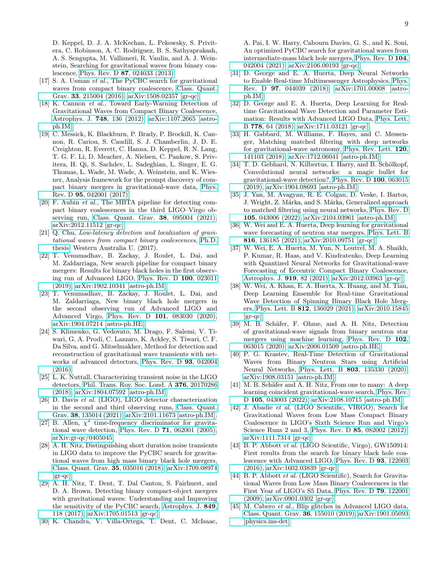D. Keppel, D. J. A. McKechan, L. Pekowsky, S. Privitera, C. Robinson, A. C. Rodriguez, B. S. Sathyaprakash, A. S. Sengupta, M. Vallisneri, R. Vaulin, and A. J. Weinstein, Searching for gravitational waves from binary coalescence, Phys. Rev. D 87[, 024033 \(2013\).](https://doi.org/10.1103/PhysRevD.87.024033)

- <span id="page-8-7"></span>[17] S. A. Usman et al., The PyCBC search for gravitational waves from compact binary coalescence, [Class. Quant.](https://doi.org/10.1088/0264-9381/33/21/215004) Grav. 33[, 215004 \(2016\),](https://doi.org/10.1088/0264-9381/33/21/215004) [arXiv:1508.02357 \[gr-qc\].](https://arxiv.org/abs/1508.02357)
- [18] K. Cannon et al., Toward Early-Warning Detection of Gravitational Waves from Compact Binary Coalescence, [Astrophys. J.](https://doi.org/10.1088/0004-637X/748/2/136) 748, 136 (2012), [arXiv:1107.2665 \[astro](https://arxiv.org/abs/1107.2665)[ph.IM\].](https://arxiv.org/abs/1107.2665)
- [19] C. Messick, K. Blackburn, P. Brady, P. Brockill, K. Cannon, R. Cariou, S. Caudill, S. J. Chamberlin, J. D. E. Creighton, R. Everett, C. Hanna, D. Keppel, R. N. Lang, T. G. F. Li, D. Meacher, A. Nielsen, C. Pankow, S. Privitera, H. Qi, S. Sachdev, L. Sadeghian, L. Singer, E. G. Thomas, L. Wade, M. Wade, A. Weinstein, and K. Wiesner, Analysis framework for the prompt discovery of compact binary mergers in gravitational-wave data, [Phys.](https://doi.org/10.1103/PhysRevD.95.042001) Rev. D 95[, 042001 \(2017\).](https://doi.org/10.1103/PhysRevD.95.042001)
- [20] F. Aubin et al., The MBTA pipeline for detecting compact binary coalescences in the third LIGO–Virgo observing run, [Class. Quant. Grav.](https://doi.org/10.1088/1361-6382/abe913) 38, 095004 (2021), [arXiv:2012.11512 \[gr-qc\].](https://arxiv.org/abs/2012.11512)
- [21] Q. Chu, Low-latency detection and localization of gravitational waves from compact binary coalescences, [Ph.D.](https://doi.org/10.4225/23/5987feb0a789c) [thesis,](https://doi.org/10.4225/23/5987feb0a789c) Western Australia U. (2017).
- [22] T. Venumadhav, B. Zackay, J. Roulet, L. Dai, and M. Zaldarriaga, New search pipeline for compact binary mergers: Results for binary black holes in the first observing run of Advanced LIGO, [Phys. Rev. D](https://doi.org/10.1103/PhysRevD.100.023011) 100, 023011 [\(2019\),](https://doi.org/10.1103/PhysRevD.100.023011) [arXiv:1902.10341 \[astro-ph.IM\].](https://arxiv.org/abs/1902.10341)
- <span id="page-8-0"></span>[23] T. Venumadhav, B. Zackay, J. Roulet, L. Dai, and M. Zaldarriaga, New binary black hole mergers in the second observing run of Advanced LIGO and Advanced Virgo, Phys. Rev. D 101[, 083030 \(2020\),](https://doi.org/10.1103/PhysRevD.101.083030) [arXiv:1904.07214 \[astro-ph.HE\].](https://arxiv.org/abs/1904.07214)
- <span id="page-8-1"></span>[24] S. Klimenko, G. Vedovato, M. Drago, F. Salemi, V. Tiwari, G. A. Prodi, C. Lazzaro, K. Ackley, S. Tiwari, C. F. Da Silva, and G. Mitselmakher, Method for detection and reconstruction of gravitational wave transients with networks of advanced detectors, [Phys. Rev. D](https://doi.org/10.1103/PhysRevD.93.042004) 93, 042004 [\(2016\).](https://doi.org/10.1103/PhysRevD.93.042004)
- <span id="page-8-2"></span>[25] L. K. Nuttall, Characterizing transient noise in the LIGO detectors, [Phil. Trans. Roy. Soc. Lond. A](https://doi.org/10.1098/rsta.2017.0286) 376, 20170286 [\(2018\),](https://doi.org/10.1098/rsta.2017.0286) [arXiv:1804.07592 \[astro-ph.IM\].](https://arxiv.org/abs/1804.07592)
- <span id="page-8-3"></span>[26] D. Davis et al. (LIGO), LIGO detector characterization in the second and third observing runs, [Class. Quant.](https://doi.org/10.1088/1361-6382/abfd85) Grav. 38[, 135014 \(2021\),](https://doi.org/10.1088/1361-6382/abfd85) [arXiv:2101.11673 \[astro-ph.IM\].](https://arxiv.org/abs/2101.11673)
- <span id="page-8-4"></span>[27] B. Allen,  $\chi^2$  time-frequency discriminator for gravitational wave detection, Phys. Rev. D 71[, 062001 \(2005\),](https://doi.org/10.1103/PhysRevD.71.062001) [arXiv:gr-qc/0405045.](https://arxiv.org/abs/gr-qc/0405045)
- <span id="page-8-5"></span>[28] A. H. Nitz, Distinguishing short duration noise transients in LIGO data to improve the PyCBC search for gravitational waves from high mass binary black hole mergers, [Class. Quant. Grav.](https://doi.org/10.1088/1361-6382/aaa13d) 35, 035016 (2018), [arXiv:1709.08974](https://arxiv.org/abs/1709.08974)  $|gr-qc|$ .
- <span id="page-8-6"></span>[29] A. H. Nitz, T. Dent, T. Dal Canton, S. Fairhurst, and D. A. Brown, Detecting binary compact-object mergers with gravitational waves: Understanding and Improving the sensitivity of the PyCBC search, [Astrophys. J.](https://doi.org/10.3847/1538-4357/aa8f50) 849, [118 \(2017\),](https://doi.org/10.3847/1538-4357/aa8f50) [arXiv:1705.01513 \[gr-qc\].](https://arxiv.org/abs/1705.01513)
- <span id="page-8-8"></span>[30] K. Chandra, V. Villa-Ortega, T. Dent, C. McIsaac,

A. Pai, I. W. Harry, Cabourn Davies, G. S., and K. Soni, An optimized PyCBC search for gravitational waves from intermediate-mass black hole mergers, [Phys. Rev. D](https://doi.org/10.1103/PhysRevD.104.042004) 104, [042004 \(2021\),](https://doi.org/10.1103/PhysRevD.104.042004) [arXiv:2106.00193 \[gr-qc\].](https://arxiv.org/abs/2106.00193)

- <span id="page-8-9"></span>[31] D. George and E. A. Huerta, Deep Neural Networks to Enable Real-time Multimessenger Astrophysics, [Phys.](https://doi.org/10.1103/PhysRevD.97.044039) Rev. D 97[, 044039 \(2018\),](https://doi.org/10.1103/PhysRevD.97.044039) [arXiv:1701.00008 \[astro](https://arxiv.org/abs/1701.00008)[ph.IM\].](https://arxiv.org/abs/1701.00008)
- [32] D. George and E. A. Huerta, Deep Learning for Realtime Gravitational Wave Detection and Parameter Estimation: Results with Advanced LIGO Data, [Phys. Lett.](https://doi.org/10.1016/j.physletb.2017.12.053) B 778[, 64 \(2018\),](https://doi.org/10.1016/j.physletb.2017.12.053) [arXiv:1711.03121 \[gr-qc\].](https://arxiv.org/abs/1711.03121)
- [33] H. Gabbard, M. Williams, F. Hayes, and C. Messenger, Matching matched filtering with deep networks for gravitational-wave astronomy, [Phys. Rev. Lett.](https://doi.org/10.1103/PhysRevLett.120.141103) 120, [141103 \(2018\),](https://doi.org/10.1103/PhysRevLett.120.141103) [arXiv:1712.06041 \[astro-ph.IM\].](https://arxiv.org/abs/1712.06041)
- [34] T. D. Gebhard, N. Kilbertus, I. Harry, and B. Schölkopf, Convolutional neural networks: a magic bullet for gravitational-wave detection?, [Phys. Rev. D](https://doi.org/10.1103/PhysRevD.100.063015) 100, 063015 [\(2019\),](https://doi.org/10.1103/PhysRevD.100.063015) [arXiv:1904.08693 \[astro-ph.IM\].](https://arxiv.org/abs/1904.08693)
- <span id="page-8-10"></span>[35] J. Yan, M. Avagyan, R. E. Colgan, D. Veske, I. Bartos, J. Wright, Z. Márka, and S. Márka, Generalized approach to matched filtering using neural networks, [Phys. Rev. D](https://doi.org/10.1103/PhysRevD.105.043006) 105[, 043006 \(2022\),](https://doi.org/10.1103/PhysRevD.105.043006) [arXiv:2104.03961 \[astro-ph.IM\].](https://arxiv.org/abs/2104.03961)
- <span id="page-8-11"></span>[36] W. Wei and E. A. Huerta, Deep learning for gravitational wave forecasting of neutron star mergers, [Phys. Lett. B](https://doi.org/10.1016/j.physletb.2021.136185) 816[, 136185 \(2021\),](https://doi.org/10.1016/j.physletb.2021.136185) [arXiv:2010.09751 \[gr-qc\].](https://arxiv.org/abs/2010.09751)
- [37] W. Wei, E. A. Huerta, M. Yun, N. Loutrel, M. A. Shaikh, P. Kumar, R. Haas, and V. Kindratenko, Deep Learning with Quantized Neural Networks for Gravitational-wave Forecasting of Eccentric Compact Binary Coalescence, [Astrophys. J.](https://doi.org/10.3847/1538-4357/ac1121) 919, 82 (2021), [arXiv:2012.03963 \[gr-qc\].](https://arxiv.org/abs/2012.03963)
- [38] W. Wei, A. Khan, E. A. Huerta, X. Huang, and M. Tian, Deep Learning Ensemble for Real-time Gravitational Wave Detection of Spinning Binary Black Hole Mergers, Phys. Lett. B 812[, 136029 \(2021\),](https://doi.org/10.1016/j.physletb.2020.136029) [arXiv:2010.15845](https://arxiv.org/abs/2010.15845)  $\left[\text{gr-qc}\right]$ .
- [39] M. B. Schäfer, F. Ohme, and A. H. Nitz, Detection of gravitational-wave signals from binary neutron star mergers using machine learning, [Phys. Rev. D](https://doi.org/10.1103/PhysRevD.102.063015) 102, [063015 \(2020\),](https://doi.org/10.1103/PhysRevD.102.063015) [arXiv:2006.01509 \[astro-ph.HE\].](https://arxiv.org/abs/2006.01509)
- <span id="page-8-12"></span>[40] P. G. Krastev, Real-Time Detection of Gravitational Waves from Binary Neutron Stars using Artificial Neural Networks, Phys. Lett. B 803[, 135330 \(2020\),](https://doi.org/10.1016/j.physletb.2020.135330) [arXiv:1908.03151 \[astro-ph.IM\].](https://arxiv.org/abs/1908.03151)
- <span id="page-8-13"></span>[41] M. B. Schäfer and A. H. Nitz, From one to many: A deep learning coincident gravitational-wave search, [Phys. Rev.](https://doi.org/10.1103/PhysRevD.105.043003) D 105[, 043003 \(2022\),](https://doi.org/10.1103/PhysRevD.105.043003) [arXiv:2108.10715 \[astro-ph.IM\].](https://arxiv.org/abs/2108.10715)
- <span id="page-8-14"></span>[42] J. Abadie et al. (LIGO Scientific, VIRGO), Search for Gravitational Waves from Low Mass Compact Binary Coalescence in LIGO's Sixth Science Run and Virgo's Science Runs 2 and 3, Phys. Rev. D 85[, 082002 \(2012\),](https://doi.org/10.1103/PhysRevD.85.082002) [arXiv:1111.7314 \[gr-qc\].](https://arxiv.org/abs/1111.7314)
- <span id="page-8-15"></span>[43] B. P. Abbott et al. (LIGO Scientific, Virgo), GW150914: First results from the search for binary black hole coalescence with Advanced LIGO, [Phys. Rev. D](https://doi.org/10.1103/PhysRevD.93.122003) 93, 122003 [\(2016\),](https://doi.org/10.1103/PhysRevD.93.122003) [arXiv:1602.03839 \[gr-qc\].](https://arxiv.org/abs/1602.03839)
- <span id="page-8-16"></span>[44] B. P. Abbott et al. (LIGO Scientific), Search for Gravitational Waves from Low Mass Binary Coalescences in the First Year of LIGO's S5 Data, [Phys. Rev. D](https://doi.org/10.1103/PhysRevD.79.122001) 79, 122001 [\(2009\),](https://doi.org/10.1103/PhysRevD.79.122001) [arXiv:0901.0302 \[gr-qc\].](https://arxiv.org/abs/0901.0302)
- <span id="page-8-17"></span>[45] M. Cabero et al., Blip glitches in Advanced LIGO data, [Class. Quant. Grav.](https://doi.org/10.1088/1361-6382/ab2e14) 36, 155010 (2019), [arXiv:1901.05093](https://arxiv.org/abs/1901.05093) [\[physics.ins-det\].](https://arxiv.org/abs/1901.05093)